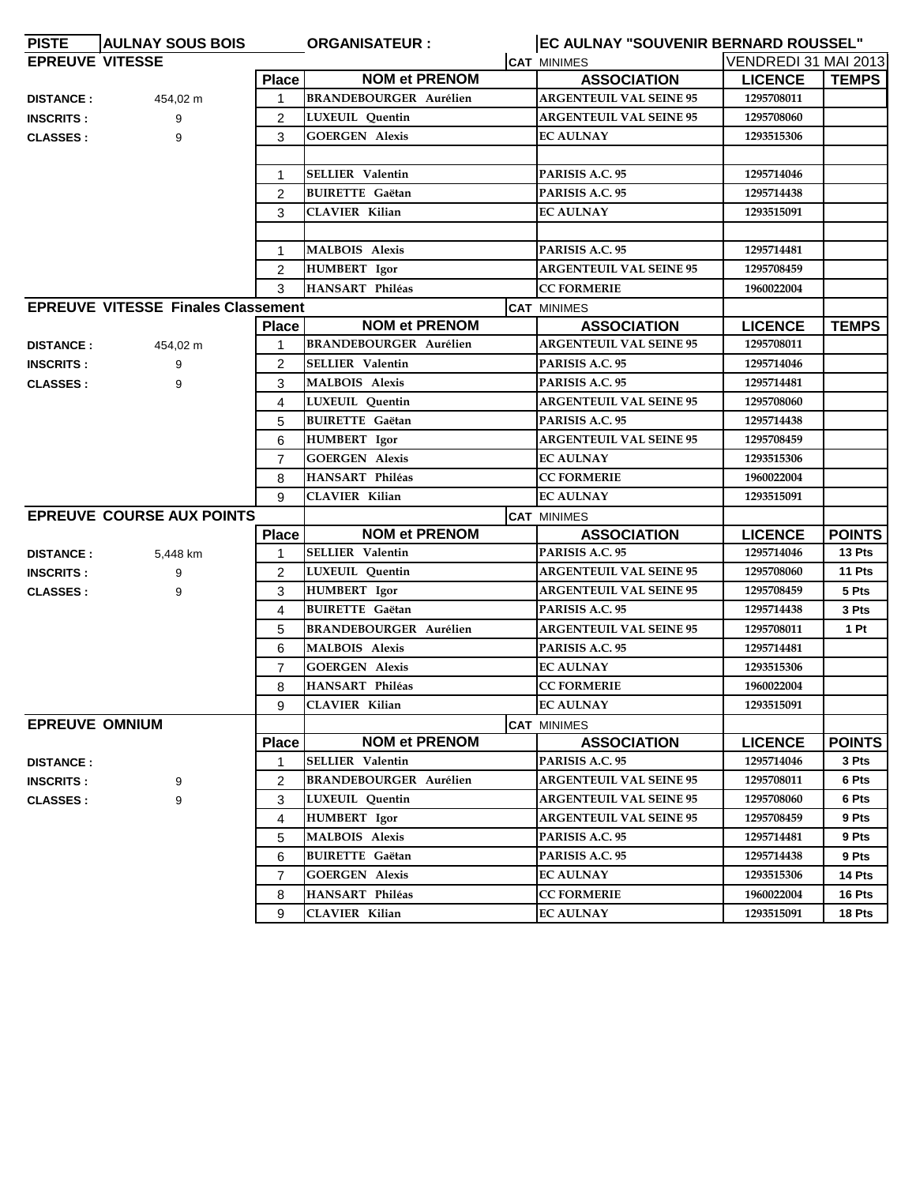| <b>PISTE</b>           | <b>AULNAY SOUS BOIS</b>                   |                | <b>ORGANISATEUR:</b>          | EC AULNAY "SOUVENIR BERNARD ROUSSEL" |                      |               |
|------------------------|-------------------------------------------|----------------|-------------------------------|--------------------------------------|----------------------|---------------|
| <b>EPREUVE VITESSE</b> |                                           |                |                               | <b>CAT MINIMES</b>                   | VENDREDI 31 MAI 2013 |               |
|                        |                                           | <b>Place</b>   | <b>NOM et PRENOM</b>          | <b>ASSOCIATION</b>                   | <b>LICENCE</b>       | <b>TEMPS</b>  |
| <b>DISTANCE:</b>       | 454,02 m                                  | 1              | <b>BRANDEBOURGER Aurélien</b> | <b>ARGENTEUIL VAL SEINE 95</b>       | 1295708011           |               |
| <b>INSCRITS:</b>       | 9                                         | $\overline{2}$ | LUXEUIL Quentin               | <b>ARGENTEUIL VAL SEINE 95</b>       | 1295708060           |               |
| <b>CLASSES:</b>        | 9                                         | 3              | <b>GOERGEN Alexis</b>         | <b>EC AULNAY</b>                     | 1293515306           |               |
|                        |                                           |                |                               |                                      |                      |               |
|                        |                                           | 1              | <b>SELLIER Valentin</b>       | PARISIS A.C. 95                      | 1295714046           |               |
|                        |                                           | 2              | <b>BUIRETTE Gaëtan</b>        | PARISIS A.C. 95                      | 1295714438           |               |
|                        |                                           | 3              | <b>CLAVIER Kilian</b>         | <b>EC AULNAY</b>                     | 1293515091           |               |
|                        |                                           |                |                               |                                      |                      |               |
|                        |                                           | 1              | <b>MALBOIS Alexis</b>         | PARISIS A.C. 95                      | 1295714481           |               |
|                        |                                           | $\overline{2}$ | <b>HUMBERT</b> Igor           | <b>ARGENTEUIL VAL SEINE 95</b>       | 1295708459           |               |
|                        |                                           | 3              | HANSART Philéas               | <b>CC FORMERIE</b>                   | 1960022004           |               |
|                        | <b>EPREUVE VITESSE Finales Classement</b> |                |                               | <b>CAT MINIMES</b>                   |                      |               |
|                        |                                           | <b>Place</b>   | <b>NOM et PRENOM</b>          | <b>ASSOCIATION</b>                   | <b>LICENCE</b>       | <b>TEMPS</b>  |
| <b>DISTANCE:</b>       | 454,02 m                                  | 1              | <b>BRANDEBOURGER Aurélien</b> | <b>ARGENTEUIL VAL SEINE 95</b>       | 1295708011           |               |
| <b>INSCRITS:</b>       | 9                                         | 2              | <b>SELLIER Valentin</b>       | PARISIS A.C. 95                      | 1295714046           |               |
| <b>CLASSES:</b>        | 9                                         | 3              | <b>MALBOIS Alexis</b>         | PARISIS A.C. 95                      | 1295714481           |               |
|                        |                                           | 4              | <b>LUXEUIL</b> Quentin        | <b>ARGENTEUIL VAL SEINE 95</b>       | 1295708060           |               |
|                        |                                           | 5              | <b>BUIRETTE</b> Gaëtan        | PARISIS A.C. 95                      | 1295714438           |               |
|                        |                                           | 6              | <b>HUMBERT</b> Igor           | <b>ARGENTEUIL VAL SEINE 95</b>       | 1295708459           |               |
|                        |                                           | $\overline{7}$ | <b>GOERGEN Alexis</b>         | <b>EC AULNAY</b>                     | 1293515306           |               |
|                        |                                           | 8              | HANSART Philéas               | <b>CC FORMERIE</b>                   | 1960022004           |               |
|                        |                                           | 9              | <b>CLAVIER Kilian</b>         | <b>EC AULNAY</b>                     | 1293515091           |               |
|                        | <b>EPREUVE COURSE AUX POINTS</b>          |                |                               | <b>CAT MINIMES</b>                   |                      |               |
|                        |                                           | <b>Place</b>   | <b>NOM et PRENOM</b>          | <b>ASSOCIATION</b>                   | <b>LICENCE</b>       | <b>POINTS</b> |
| <b>DISTANCE:</b>       | 5,448 km                                  | 1              | <b>SELLIER Valentin</b>       | PARISIS A.C. 95                      | 1295714046           | 13 Pts        |
| <b>INSCRITS:</b>       | 9                                         | 2              | LUXEUIL Quentin               | <b>ARGENTEUIL VAL SEINE 95</b>       | 1295708060           | 11 Pts        |
| <b>CLASSES:</b>        | 9                                         | 3              | HUMBERT Igor                  | <b>ARGENTEUIL VAL SEINE 95</b>       | 1295708459           | 5 Pts         |
|                        |                                           | 4              | <b>BUIRETTE</b> Gaëtan        | PARISIS A.C. 95                      | 1295714438           | 3 Pts         |
|                        |                                           | 5              | <b>BRANDEBOURGER Aurélien</b> | <b>ARGENTEUIL VAL SEINE 95</b>       | 1295708011           | 1 Pt          |
|                        |                                           | 6              | <b>MALBOIS Alexis</b>         | PARISIS A.C. 95                      | 1295714481           |               |
|                        |                                           | $\overline{7}$ | <b>GOERGEN Alexis</b>         | <b>EC AULNAY</b>                     | 1293515306           |               |
|                        |                                           | 8              | HANSART Philéas               | <b>CC FORMERIE</b>                   | 1960022004           |               |
|                        |                                           | 9              | <b>CLAVIER Kilian</b>         | <b>EC AULNAY</b>                     | 1293515091           |               |
| <b>EPREUVE OMNIUM</b>  |                                           |                |                               | <b>CAT MINIMES</b>                   |                      |               |
|                        |                                           | <b>Place</b>   | <b>NOM et PRENOM</b>          | <b>ASSOCIATION</b>                   | <b>LICENCE</b>       | <b>POINTS</b> |
| <b>DISTANCE:</b>       |                                           | 1              | <b>SELLIER</b> Valentin       | PARISIS A.C. 95                      | 1295714046           | 3 Pts         |
| <b>INSCRITS:</b>       | 9                                         | 2              | <b>BRANDEBOURGER Aurélien</b> | <b>ARGENTEUIL VAL SEINE 95</b>       | 1295708011           | 6 Pts         |
| <b>CLASSES:</b>        | 9                                         | 3              | LUXEUIL Quentin               | <b>ARGENTEUIL VAL SEINE 95</b>       | 1295708060           | 6 Pts         |
|                        |                                           | 4              | <b>HUMBERT</b> Igor           | <b>ARGENTEUIL VAL SEINE 95</b>       | 1295708459           | 9 Pts         |
|                        |                                           | 5              | <b>MALBOIS Alexis</b>         | PARISIS A.C. 95                      | 1295714481           | 9 Pts         |
|                        |                                           | 6              | <b>BUIRETTE Gaëtan</b>        | PARISIS A.C. 95                      | 1295714438           | 9 Pts         |
|                        |                                           | 7              | <b>GOERGEN Alexis</b>         | <b>EC AULNAY</b>                     | 1293515306           | 14 Pts        |
|                        |                                           | 8              | HANSART Philéas               | <b>CC FORMERIE</b>                   | 1960022004           | 16 Pts        |
|                        |                                           | 9              | <b>CLAVIER Kilian</b>         | <b>EC AULNAY</b>                     | 1293515091           | 18 Pts        |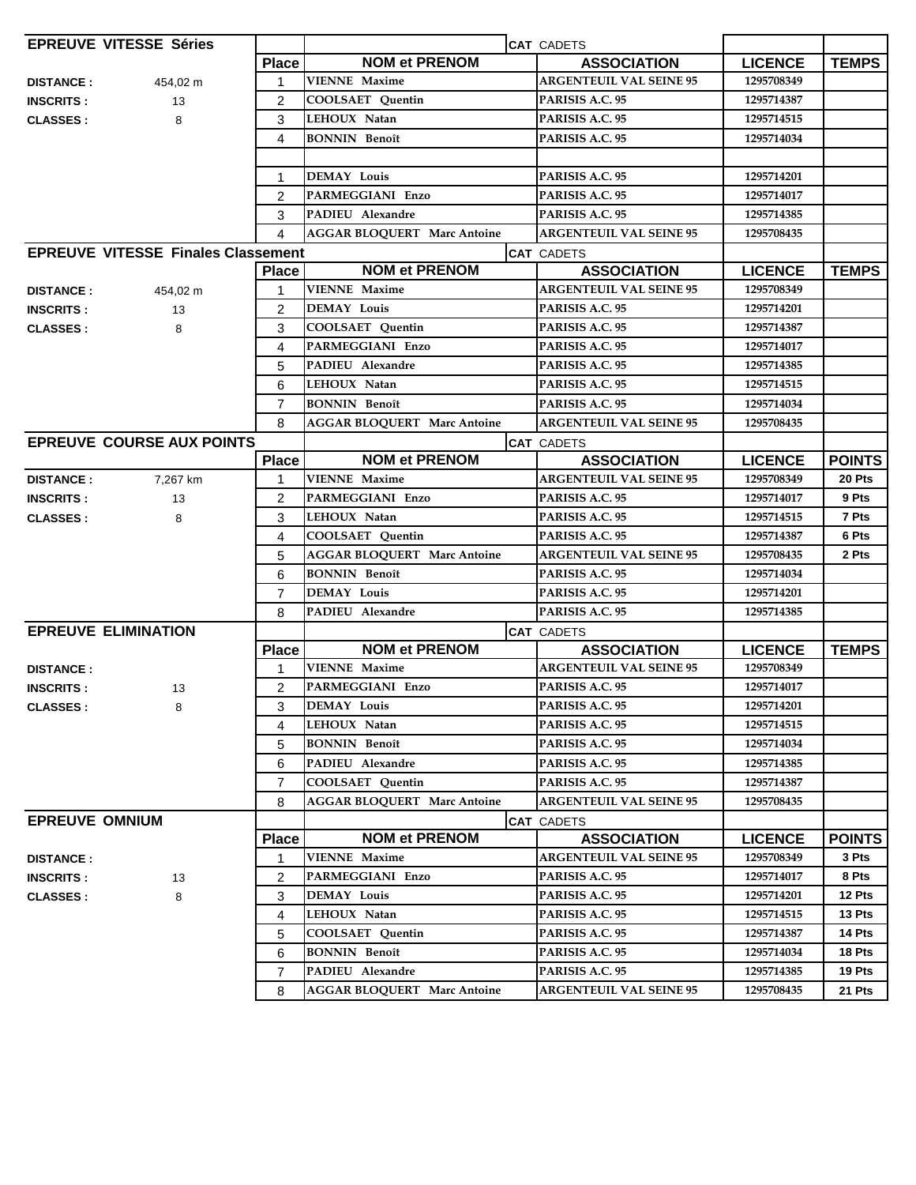|                       | <b>EPREUVE VITESSE Séries</b>             |                | CAT CADETS                         |                                |                |               |
|-----------------------|-------------------------------------------|----------------|------------------------------------|--------------------------------|----------------|---------------|
|                       |                                           | <b>Place</b>   | <b>NOM et PRENOM</b>               | <b>ASSOCIATION</b>             | <b>LICENCE</b> | <b>TEMPS</b>  |
| <b>DISTANCE:</b>      | 454,02 m                                  | 1              | <b>VIENNE Maxime</b>               | <b>ARGENTEUIL VAL SEINE 95</b> | 1295708349     |               |
| <b>INSCRITS:</b>      | 13                                        | $\overline{2}$ | <b>COOLSAET Quentin</b>            | PARISIS A.C. 95                | 1295714387     |               |
| <b>CLASSES:</b>       | 8                                         | 3              | LEHOUX Natan                       | PARISIS A.C. 95                | 1295714515     |               |
|                       |                                           | 4              | <b>BONNIN</b> Benoît               | PARISIS A.C. 95                | 1295714034     |               |
|                       |                                           |                |                                    |                                |                |               |
|                       |                                           | 1              | <b>DEMAY Louis</b>                 | PARISIS A.C. 95                | 1295714201     |               |
|                       |                                           | $\overline{2}$ | PARMEGGIANI Enzo                   | PARISIS A.C. 95                | 1295714017     |               |
|                       |                                           | 3              | PADIEU Alexandre                   | PARISIS A.C. 95                | 1295714385     |               |
|                       |                                           | 4              | <b>AGGAR BLOQUERT Marc Antoine</b> | <b>ARGENTEUIL VAL SEINE 95</b> | 1295708435     |               |
|                       | <b>EPREUVE VITESSE Finales Classement</b> |                |                                    | <b>CAT CADETS</b>              |                |               |
|                       |                                           | <b>Place</b>   | <b>NOM et PRENOM</b>               | <b>ASSOCIATION</b>             | <b>LICENCE</b> | <b>TEMPS</b>  |
| <b>DISTANCE:</b>      | 454,02 m                                  | 1              | <b>VIENNE</b> Maxime               | <b>ARGENTEUIL VAL SEINE 95</b> | 1295708349     |               |
| <b>INSCRITS:</b>      | 13                                        | $\overline{2}$ | <b>DEMAY Louis</b>                 | PARISIS A.C. 95                | 1295714201     |               |
| <b>CLASSES:</b>       | 8                                         | 3              | <b>COOLSAET</b> Quentin            | PARISIS A.C. 95                | 1295714387     |               |
|                       |                                           | 4              | PARMEGGIANI Enzo                   | PARISIS A.C. 95                | 1295714017     |               |
|                       |                                           | 5              | PADIEU Alexandre                   | PARISIS A.C. 95                | 1295714385     |               |
|                       |                                           | 6              | LEHOUX Natan                       | PARISIS A.C. 95                | 1295714515     |               |
|                       |                                           | $\overline{7}$ | <b>BONNIN</b> Benoît               | PARISIS A.C. 95                | 1295714034     |               |
|                       |                                           | 8              | <b>AGGAR BLOQUERT Marc Antoine</b> | <b>ARGENTEUIL VAL SEINE 95</b> | 1295708435     |               |
|                       | <b>EPREUVE COURSE AUX POINTS</b>          |                |                                    | <b>CAT CADETS</b>              |                |               |
|                       |                                           | <b>Place</b>   | <b>NOM et PRENOM</b>               | <b>ASSOCIATION</b>             | <b>LICENCE</b> | <b>POINTS</b> |
| <b>DISTANCE:</b>      | 7,267 km                                  |                | <b>VIENNE Maxime</b>               | <b>ARGENTEUIL VAL SEINE 95</b> | 1295708349     | 20 Pts        |
| <b>INSCRITS:</b>      | 13                                        | 2              | PARMEGGIANI Enzo                   | PARISIS A.C. 95                | 1295714017     | 9 Pts         |
| <b>CLASSES:</b>       | 8                                         | 3              | LEHOUX Natan                       | PARISIS A.C. 95                | 1295714515     | 7 Pts         |
|                       |                                           | 4              | <b>COOLSAET Quentin</b>            | PARISIS A.C. 95                | 1295714387     | 6 Pts         |
|                       |                                           | 5              | <b>AGGAR BLOQUERT Marc Antoine</b> | <b>ARGENTEUIL VAL SEINE 95</b> | 1295708435     | 2 Pts         |
|                       |                                           | 6              | <b>BONNIN</b> Benoît               | PARISIS A.C. 95                | 1295714034     |               |
|                       |                                           | $\overline{7}$ | <b>DEMAY Louis</b>                 | PARISIS A.C. 95                | 1295714201     |               |
|                       |                                           | 8              | PADIEU Alexandre                   | PARISIS A.C. 95                | 1295714385     |               |
|                       | <b>EPREUVE ELIMINATION</b>                |                |                                    | <b>CAT CADETS</b>              |                |               |
|                       |                                           | <b>Place</b>   | <b>NOM et PRENOM</b>               | <b>ASSOCIATION</b>             | <b>LICENCE</b> | <b>TEMPS</b>  |
| <b>DISTANCE:</b>      |                                           | 1              | <b>VIENNE Maxime</b>               | <b>ARGENTEUIL VAL SEINE 95</b> | 1295708349     |               |
| <b>INSCRITS:</b>      | 13                                        | 2              | PARMEGGIANI Enzo                   | PARISIS A.C. 95                | 1295714017     |               |
| <b>CLASSES:</b>       | 8                                         | 3              | <b>DEMAY Louis</b>                 | PARISIS A.C. 95                | 1295714201     |               |
|                       |                                           | 4              | LEHOUX Natan                       | PARISIS A.C. 95                | 1295714515     |               |
|                       |                                           | 5              | <b>BONNIN</b> Benoît               | PARISIS A.C. 95                | 1295714034     |               |
|                       |                                           | 6              | PADIEU Alexandre                   | PARISIS A.C. 95                | 1295714385     |               |
|                       |                                           | $\overline{7}$ | <b>COOLSAET Quentin</b>            | PARISIS A.C. 95                | 1295714387     |               |
|                       |                                           | 8              | <b>AGGAR BLOQUERT Marc Antoine</b> | <b>ARGENTEUIL VAL SEINE 95</b> | 1295708435     |               |
| <b>EPREUVE OMNIUM</b> |                                           |                |                                    | <b>CAT CADETS</b>              |                |               |
|                       |                                           | <b>Place</b>   | <b>NOM et PRENOM</b>               | <b>ASSOCIATION</b>             | <b>LICENCE</b> | <b>POINTS</b> |
| <b>DISTANCE:</b>      |                                           | 1              | <b>VIENNE Maxime</b>               | <b>ARGENTEUIL VAL SEINE 95</b> | 1295708349     | 3 Pts         |
| <b>INSCRITS:</b>      | 13                                        | 2              | PARMEGGIANI Enzo                   | PARISIS A.C. 95                | 1295714017     | 8 Pts         |
| <b>CLASSES:</b>       | 8                                         | 3              | <b>DEMAY Louis</b>                 | PARISIS A.C. 95                | 1295714201     | 12 Pts        |
|                       |                                           | 4              | LEHOUX Natan                       | PARISIS A.C. 95                | 1295714515     | 13 Pts        |
|                       |                                           | 5              | COOLSAET Quentin                   | PARISIS A.C. 95                | 1295714387     | 14 Pts        |
|                       |                                           | 6              | <b>BONNIN</b> Benoît               | PARISIS A.C. 95                | 1295714034     | 18 Pts        |
|                       |                                           | $\overline{7}$ | PADIEU Alexandre                   | PARISIS A.C. 95                | 1295714385     | 19 Pts        |
|                       |                                           | 8              | <b>AGGAR BLOQUERT Marc Antoine</b> | <b>ARGENTEUIL VAL SEINE 95</b> | 1295708435     | 21 Pts        |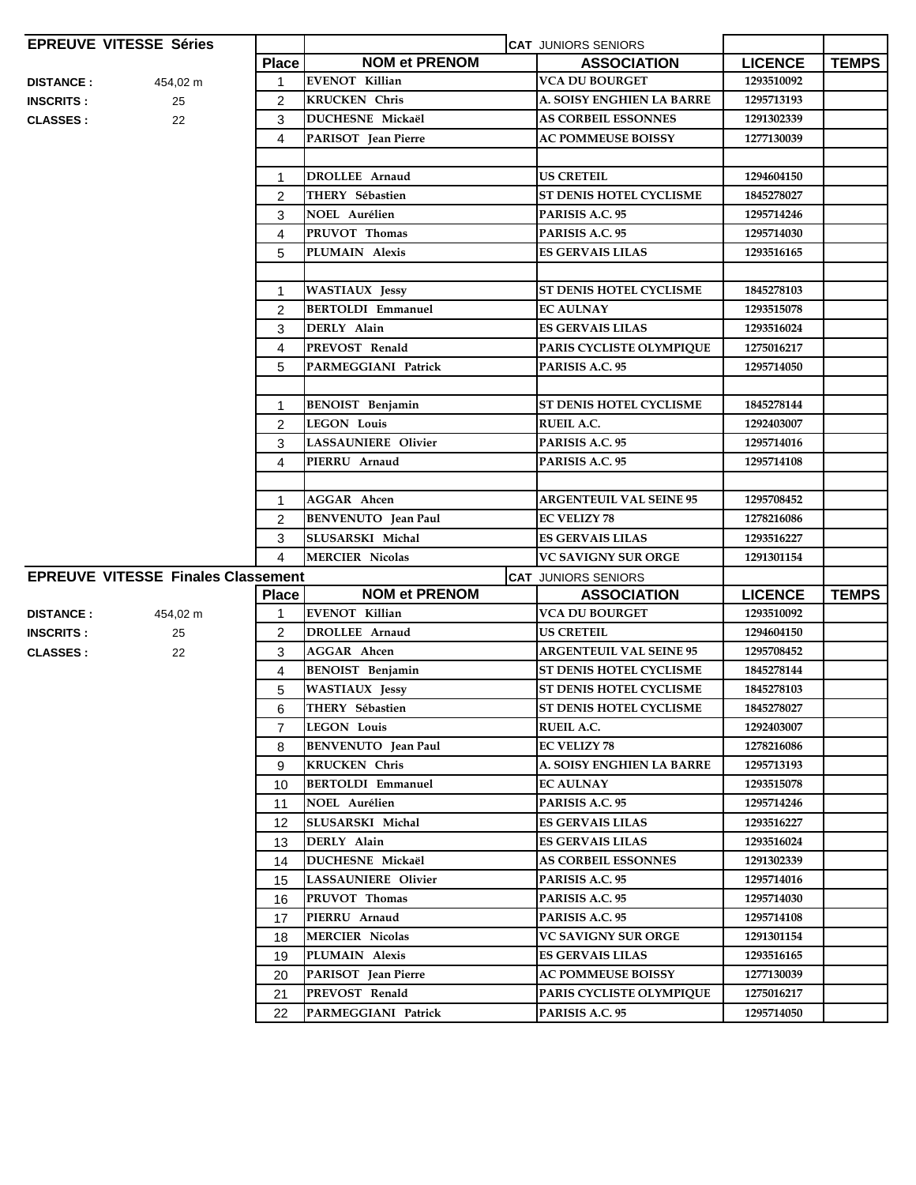|                  | <b>EPREUVE VITESSE Séries</b>             |                |                            | <b>CAT JUNIORS SENIORS</b>     |                |              |
|------------------|-------------------------------------------|----------------|----------------------------|--------------------------------|----------------|--------------|
|                  |                                           | <b>Place</b>   | <b>NOM et PRENOM</b>       | <b>ASSOCIATION</b>             | <b>LICENCE</b> | <b>TEMPS</b> |
| <b>DISTANCE:</b> | 454,02 m                                  | $\mathbf{1}$   | <b>EVENOT Killian</b>      | <b>VCA DU BOURGET</b>          | 1293510092     |              |
| <b>INSCRITS:</b> | 25                                        | $\overline{2}$ | <b>KRUCKEN</b> Chris       | A. SOISY ENGHIEN LA BARRE      | 1295713193     |              |
| <b>CLASSES:</b>  | 22                                        | 3              | DUCHESNE Mickaël           | <b>AS CORBEIL ESSONNES</b>     | 1291302339     |              |
|                  |                                           | 4              | PARISOT Jean Pierre        | <b>AC POMMEUSE BOISSY</b>      | 1277130039     |              |
|                  |                                           |                |                            |                                |                |              |
|                  |                                           | $\mathbf{1}$   | <b>DROLLEE</b> Arnaud      | <b>US CRETEIL</b>              | 1294604150     |              |
|                  |                                           | 2              | THERY Sébastien            | ST DENIS HOTEL CYCLISME        | 1845278027     |              |
|                  |                                           | 3              | <b>NOEL Aurélien</b>       | PARISIS A.C. 95                | 1295714246     |              |
|                  |                                           | 4              | PRUVOT Thomas              | PARISIS A.C. 95                | 1295714030     |              |
|                  |                                           | 5              | PLUMAIN Alexis             | <b>ES GERVAIS LILAS</b>        | 1293516165     |              |
|                  |                                           |                |                            |                                |                |              |
|                  |                                           | $\mathbf 1$    | <b>WASTIAUX Jessy</b>      | <b>ST DENIS HOTEL CYCLISME</b> | 1845278103     |              |
|                  |                                           | 2              | <b>BERTOLDI Emmanuel</b>   | <b>EC AULNAY</b>               | 1293515078     |              |
|                  |                                           | 3              | DERLY Alain                | ES GERVAIS LILAS               | 1293516024     |              |
|                  |                                           | 4              | PREVOST Renald             | PARIS CYCLISTE OLYMPIQUE       | 1275016217     |              |
|                  |                                           | 5              | <b>PARMEGGIANI Patrick</b> | PARISIS A.C. 95                | 1295714050     |              |
|                  |                                           |                |                            |                                |                |              |
|                  |                                           | $\mathbf{1}$   | <b>BENOIST</b> Benjamin    | <b>ST DENIS HOTEL CYCLISME</b> | 1845278144     |              |
|                  |                                           | 2              | <b>LEGON Louis</b>         | <b>RUEIL A.C.</b>              | 1292403007     |              |
|                  |                                           | 3              | <b>LASSAUNIERE Olivier</b> | PARISIS A.C. 95                | 1295714016     |              |
|                  |                                           | 4              | PIERRU Arnaud              | PARISIS A.C. 95                | 1295714108     |              |
|                  |                                           |                |                            |                                |                |              |
|                  |                                           | 1              | <b>AGGAR</b> Ahcen         | <b>ARGENTEUIL VAL SEINE 95</b> | 1295708452     |              |
|                  |                                           | 2              | <b>BENVENUTO</b> Jean Paul | <b>EC VELIZY 78</b>            | 1278216086     |              |
|                  |                                           | 3              | SLUSARSKI Michal           | <b>ES GERVAIS LILAS</b>        | 1293516227     |              |
|                  |                                           | 4              | <b>MERCIER Nicolas</b>     | <b>VC SAVIGNY SUR ORGE</b>     | 1291301154     |              |
|                  | <b>EPREUVE VITESSE Finales Classement</b> |                |                            | <b>CAT JUNIORS SENIORS</b>     |                |              |
|                  |                                           | <b>Place</b>   | <b>NOM et PRENOM</b>       | <b>ASSOCIATION</b>             | <b>LICENCE</b> | <b>TEMPS</b> |
| <b>DISTANCE:</b> | 454,02 m                                  | 1              | <b>EVENOT Killian</b>      | <b>VCA DU BOURGET</b>          | 1293510092     |              |
| <b>INSCRITS:</b> | 25                                        | $\overline{2}$ | <b>DROLLEE</b> Arnaud      | <b>US CRETEIL</b>              | 1294604150     |              |
| <b>CLASSES:</b>  | 22                                        | 3              | <b>AGGAR</b> Ahcen         | <b>ARGENTEUIL VAL SEINE 95</b> | 1295708452     |              |
|                  |                                           | 4              | <b>BENOIST</b> Benjamin    | <b>ST DENIS HOTEL CYCLISME</b> | 1845278144     |              |
|                  |                                           | 5              | <b>WASTIAUX</b> Jessy      | ST DENIS HOTEL CYCLISME        | 1845278103     |              |
|                  |                                           | 6              | THERY Sébastien            | <b>ST DENIS HOTEL CYCLISME</b> | 1845278027     |              |
|                  |                                           | $\overline{7}$ | <b>LEGON Louis</b>         | <b>RUEIL A.C.</b>              | 1292403007     |              |
|                  |                                           | 8              | <b>BENVENUTO</b> Jean Paul | <b>EC VELIZY 78</b>            | 1278216086     |              |
|                  |                                           | 9              | <b>KRUCKEN</b> Chris       | A. SOISY ENGHIEN LA BARRE      | 1295713193     |              |
|                  |                                           | 10             | <b>BERTOLDI Emmanuel</b>   | <b>EC AULNAY</b>               | 1293515078     |              |
|                  |                                           | 11             | NOEL Aurélien              | PARISIS A.C. 95                | 1295714246     |              |
|                  |                                           | 12             | SLUSARSKI Michal           | <b>ES GERVAIS LILAS</b>        | 1293516227     |              |
|                  |                                           | 13             | DERLY Alain                | <b>ES GERVAIS LILAS</b>        | 1293516024     |              |
|                  |                                           | 14             | DUCHESNE Mickaël           | <b>AS CORBEIL ESSONNES</b>     | 1291302339     |              |
|                  |                                           | 15             | <b>LASSAUNIERE Olivier</b> | PARISIS A.C. 95                | 1295714016     |              |
|                  |                                           | 16             | PRUVOT Thomas              | PARISIS A.C. 95                | 1295714030     |              |
|                  |                                           | 17             | PIERRU Arnaud              | PARISIS A.C. 95                | 1295714108     |              |
|                  |                                           | 18             | <b>MERCIER Nicolas</b>     | VC SAVIGNY SUR ORGE            | 1291301154     |              |
|                  |                                           | 19             | PLUMAIN Alexis             | <b>ES GERVAIS LILAS</b>        | 1293516165     |              |
|                  |                                           | 20             | PARISOT Jean Pierre        | <b>AC POMMEUSE BOISSY</b>      | 1277130039     |              |
|                  |                                           | 21             | PREVOST Renald             | PARIS CYCLISTE OLYMPIQUE       | 1275016217     |              |
|                  |                                           | 22             | PARMEGGIANI Patrick        | PARISIS A.C. 95                | 1295714050     |              |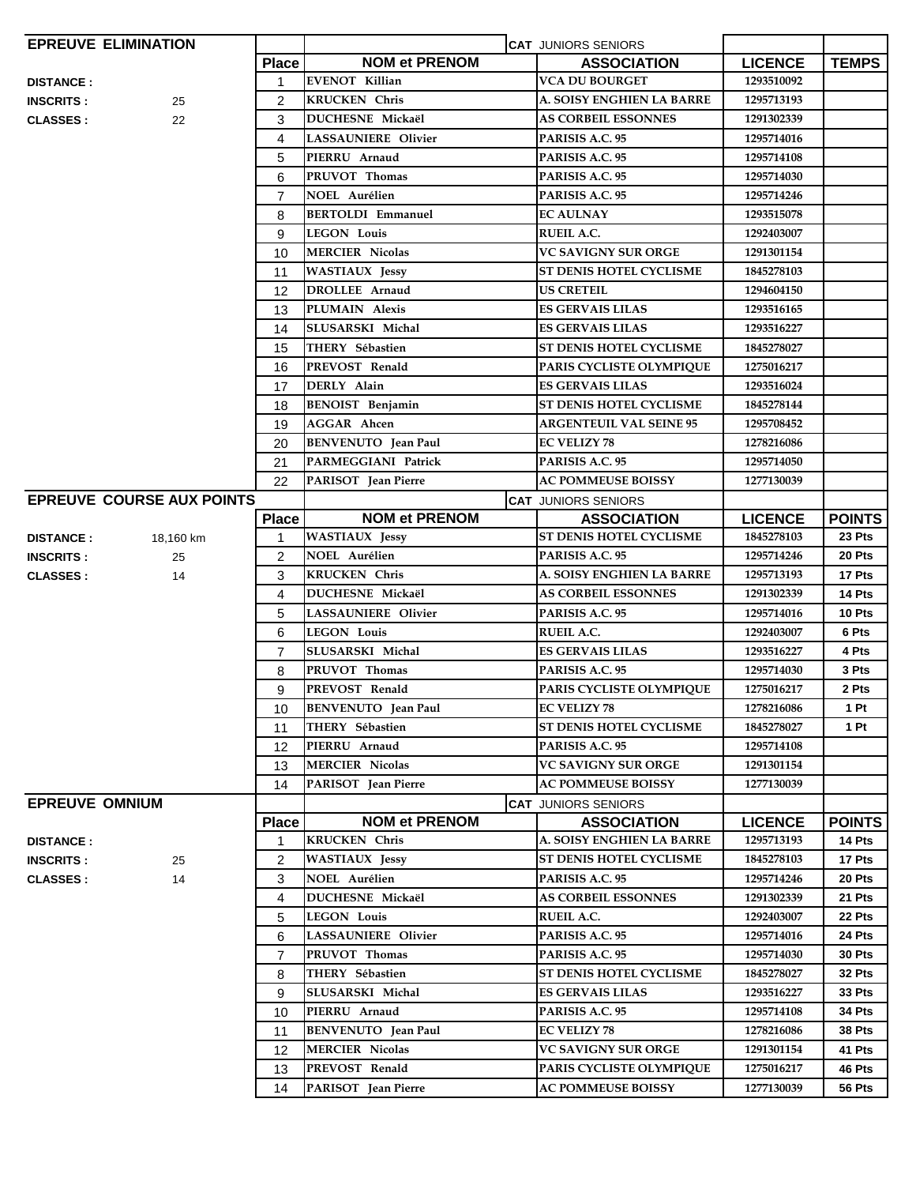|                       | <b>EPREUVE ELIMINATION</b>       |                |                            | <b>CAT JUNIORS SENIORS</b>     |                |               |
|-----------------------|----------------------------------|----------------|----------------------------|--------------------------------|----------------|---------------|
|                       |                                  | <b>Place</b>   | <b>NOM et PRENOM</b>       | <b>ASSOCIATION</b>             | <b>LICENCE</b> | <b>TEMPS</b>  |
| <b>DISTANCE:</b>      |                                  | 1              | <b>EVENOT Killian</b>      | VCA DU BOURGET                 | 1293510092     |               |
| <b>INSCRITS:</b>      | 25                               | $\overline{c}$ | <b>KRUCKEN Chris</b>       | A. SOISY ENGHIEN LA BARRE      | 1295713193     |               |
| <b>CLASSES:</b>       | 22                               | 3              | DUCHESNE Mickaël           | <b>AS CORBEIL ESSONNES</b>     | 1291302339     |               |
|                       |                                  | 4              | <b>LASSAUNIERE Olivier</b> | PARISIS A.C. 95                | 1295714016     |               |
|                       |                                  | 5              | PIERRU Arnaud              | PARISIS A.C. 95                | 1295714108     |               |
|                       |                                  | 6              | PRUVOT Thomas              | PARISIS A.C. 95                | 1295714030     |               |
|                       |                                  | $\overline{7}$ | <b>NOEL Aurélien</b>       | PARISIS A.C. 95                | 1295714246     |               |
|                       |                                  | 8              | <b>BERTOLDI Emmanuel</b>   | <b>EC AULNAY</b>               | 1293515078     |               |
|                       |                                  | 9              | <b>LEGON Louis</b>         | <b>RUEIL A.C.</b>              | 1292403007     |               |
|                       |                                  | 10             | <b>MERCIER Nicolas</b>     | VC SAVIGNY SUR ORGE            | 1291301154     |               |
|                       |                                  | 11             | <b>WASTIAUX Jessy</b>      | ST DENIS HOTEL CYCLISME        | 1845278103     |               |
|                       |                                  | 12             | <b>DROLLEE</b> Arnaud      | <b>US CRETEIL</b>              | 1294604150     |               |
|                       |                                  | 13             | PLUMAIN Alexis             | ES GERVAIS LILAS               | 1293516165     |               |
|                       |                                  | 14             | SLUSARSKI Michal           | <b>ES GERVAIS LILAS</b>        | 1293516227     |               |
|                       |                                  | 15             | THERY Sébastien            | ST DENIS HOTEL CYCLISME        | 1845278027     |               |
|                       |                                  | 16             | PREVOST Renald             | PARIS CYCLISTE OLYMPIOUE       | 1275016217     |               |
|                       |                                  | 17             | DERLY Alain                | <b>ES GERVAIS LILAS</b>        | 1293516024     |               |
|                       |                                  | 18             | <b>BENOIST</b> Benjamin    | ST DENIS HOTEL CYCLISME        | 1845278144     |               |
|                       |                                  | 19             | <b>AGGAR</b> Ahcen         | <b>ARGENTEUIL VAL SEINE 95</b> | 1295708452     |               |
|                       |                                  | 20             | <b>BENVENUTO</b> Jean Paul | EC VELIZY 78                   | 1278216086     |               |
|                       |                                  | 21             | PARMEGGIANI Patrick        | PARISIS A.C. 95                | 1295714050     |               |
|                       |                                  | 22             | PARISOT Jean Pierre        | <b>AC POMMEUSE BOISSY</b>      | 1277130039     |               |
|                       | <b>EPREUVE COURSE AUX POINTS</b> |                |                            | <b>CAT JUNIORS SENIORS</b>     |                |               |
|                       |                                  | <b>Place</b>   | <b>NOM et PRENOM</b>       | <b>ASSOCIATION</b>             | <b>LICENCE</b> | <b>POINTS</b> |
| <b>DISTANCE:</b>      | 18,160 km                        | 1              | <b>WASTIAUX Jessy</b>      | ST DENIS HOTEL CYCLISME        | 1845278103     | 23 Pts        |
| <b>INSCRITS:</b>      | 25                               | $\overline{2}$ | <b>NOEL Aurélien</b>       | PARISIS A.C. 95                | 1295714246     | 20 Pts        |
| <b>CLASSES:</b>       | 14                               | 3              | <b>KRUCKEN Chris</b>       | A. SOISY ENGHIEN LA BARRE      | 1295713193     | 17 Pts        |
|                       |                                  | 4              | <b>DUCHESNE Mickaël</b>    | <b>AS CORBEIL ESSONNES</b>     | 1291302339     | 14 Pts        |
|                       |                                  | 5              | <b>LASSAUNIERE Olivier</b> | PARISIS A.C. 95                | 1295714016     | 10 Pts        |
|                       |                                  | 6              | <b>LEGON Louis</b>         | <b>RUEIL A.C.</b>              | 1292403007     | 6 Pts         |
|                       |                                  | $\overline{7}$ | SLUSARSKI Michal           | <b>ES GERVAIS LILAS</b>        | 1293516227     | 4 Pts         |
|                       |                                  | 8              | PRUVOT Thomas              | PARISIS A.C. 95                | 1295714030     | 3 Pts         |
|                       |                                  | 9              | PREVOST Renald             | PARIS CYCLISTE OLYMPIQUE       | 1275016217     | 2 Pts         |
|                       |                                  | 10             | <b>BENVENUTO</b> Jean Paul | <b>EC VELIZY 78</b>            | 1278216086     | 1 Pt          |
|                       |                                  | 11             | THERY Sébastien            | ST DENIS HOTEL CYCLISME        | 1845278027     | 1 Pt          |
|                       |                                  | 12             | PIERRU Arnaud              | PARISIS A.C. 95                | 1295714108     |               |
|                       |                                  | 13             | <b>MERCIER Nicolas</b>     | <b>VC SAVIGNY SUR ORGE</b>     | 1291301154     |               |
|                       |                                  | 14             | PARISOT Jean Pierre        | <b>AC POMMEUSE BOISSY</b>      | 1277130039     |               |
| <b>EPREUVE OMNIUM</b> |                                  |                |                            | <b>CAT JUNIORS SENIORS</b>     |                |               |
|                       |                                  | <b>Place</b>   | <b>NOM et PRENOM</b>       | <b>ASSOCIATION</b>             | <b>LICENCE</b> | <b>POINTS</b> |
| <b>DISTANCE:</b>      |                                  | 1              | <b>KRUCKEN Chris</b>       | A. SOISY ENGHIEN LA BARRE      | 1295713193     | 14 Pts        |
| <b>INSCRITS:</b>      | 25                               | 2              | <b>WASTIAUX Jessy</b>      | ST DENIS HOTEL CYCLISME        | 1845278103     | 17 Pts        |
| <b>CLASSES:</b>       | 14                               | 3              | <b>NOEL Aurélien</b>       | PARISIS A.C. 95                | 1295714246     | 20 Pts        |
|                       |                                  | 4              | DUCHESNE Mickaël           | <b>AS CORBEIL ESSONNES</b>     | 1291302339     | 21 Pts        |
|                       |                                  | 5              | <b>LEGON Louis</b>         | <b>RUEIL A.C.</b>              | 1292403007     | 22 Pts        |
|                       |                                  | 6              | <b>LASSAUNIERE Olivier</b> | PARISIS A.C. 95                | 1295714016     | 24 Pts        |
|                       |                                  | $\overline{7}$ | PRUVOT Thomas              | PARISIS A.C. 95                | 1295714030     | 30 Pts        |
|                       |                                  | 8              | THERY Sébastien            | ST DENIS HOTEL CYCLISME        | 1845278027     | 32 Pts        |
|                       |                                  | 9              | SLUSARSKI Michal           | <b>ES GERVAIS LILAS</b>        | 1293516227     | 33 Pts        |
|                       |                                  | 10             | PIERRU Arnaud              | PARISIS A.C. 95                | 1295714108     | 34 Pts        |
|                       |                                  | 11             | <b>BENVENUTO</b> Jean Paul | <b>EC VELIZY 78</b>            | 1278216086     | 38 Pts        |
|                       |                                  | 12             | <b>MERCIER Nicolas</b>     | VC SAVIGNY SUR ORGE            | 1291301154     | 41 Pts        |
|                       |                                  | 13             | PREVOST Renald             | PARIS CYCLISTE OLYMPIQUE       | 1275016217     | 46 Pts        |
|                       |                                  | 14             | PARISOT Jean Pierre        | <b>AC POMMEUSE BOISSY</b>      | 1277130039     | 56 Pts        |
|                       |                                  |                |                            |                                |                |               |